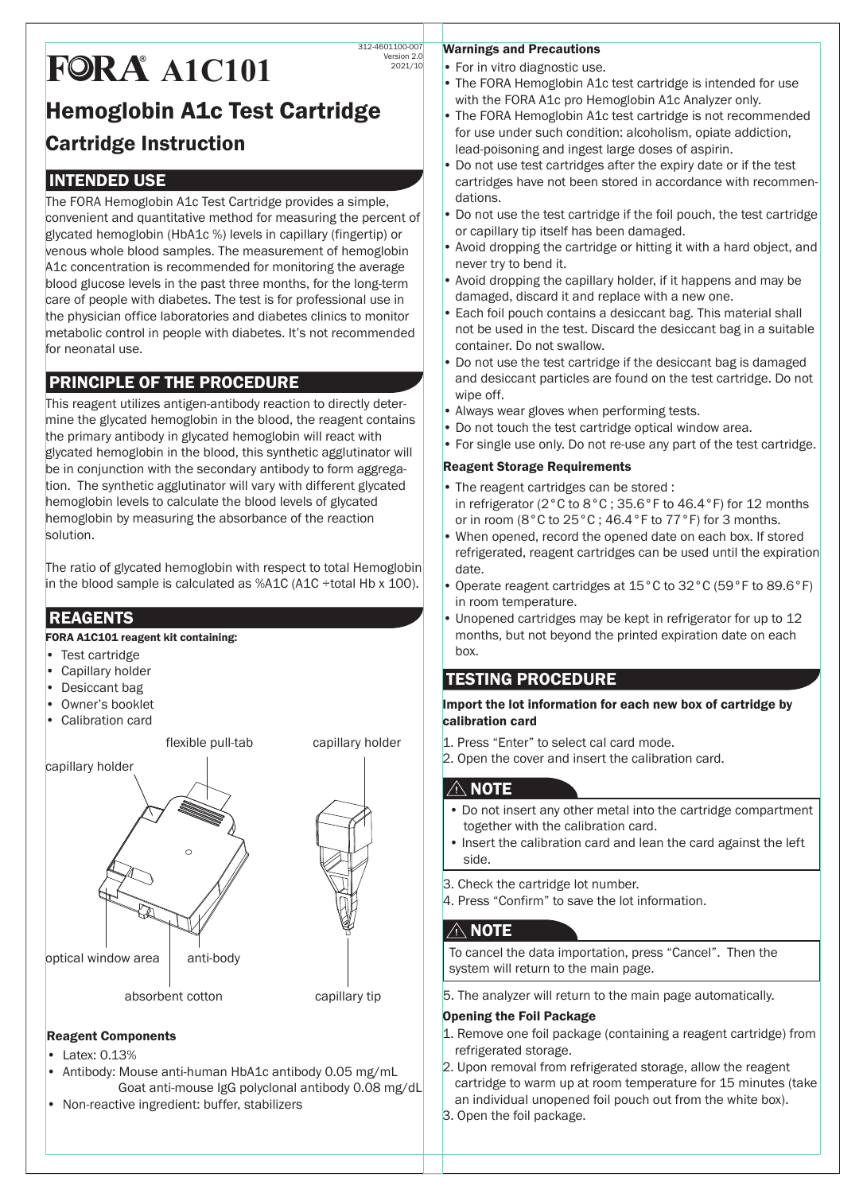# Hemoglobin A1c Test Cartridge Cartridge Instruction 312-4601100-007 Version 2.0 2021/10 **FOR A 41C101**

# INTENDED USE

The FORA Hemoglobin A1c Test Cartridge provides a simple, convenient and quantitative method for measuring the percent of glycated hemoglobin (HbA1c %) levels in capillary (fingertip) or venous whole blood samples. The measurement of hemoglobin A1c concentration is recommended for monitoring the average blood glucose levels in the past three months, for the long-term care of people with diabetes. The test is for professional use in the physician office laboratories and diabetes clinics to monitor metabolic control in people with diabetes. It's not recommended for neonatal use.

# PRINCIPLE OF THE PROCEDURE

This reagent utilizes antigen-antibody reaction to directly determine the glycated hemoglobin in the blood, the reagent contains the primary antibody in glycated hemoglobin will react with glycated hemoglobin in the blood, this synthetic agglutinator will be in conjunction with the secondary antibody to form aggregation. The synthetic agglutinator will vary with different glycated hemoglobin levels to calculate the blood levels of glycated hemoglobin by measuring the absorbance of the reaction solution.

The ratio of glycated hemoglobin with respect to total Hemoglobin in the blood sample is calculated as  $%$ A1C (A1C ÷total Hb x 100).

# **REAGENTS**

FORA A1C101 reagent kit containing:

- Test cartridge
- Capillary holder
- Desiccant bag
- Owner's booklet
- Calibration card

flexible pull-tab capillary holder

capillary holder optical window area  $\vert$  anti-body absorbent cotton capillary tip

#### Reagent Components

- Latex: 0.13%
- Antibody: Mouse anti-human HbA1c antibody 0.05 mg/mL Goat anti-mouse IgG polyclonal antibody 0.08 mg/dL
- Non-reactive ingredient: buffer, stabilizers

#### Warnings and Precautions

- For in vitro diagnostic use.
- The FORA Hemoglobin A1c test cartridge is intended for use with the FORA A1c pro Hemoglobin A1c Analyzer only.
- The FORA Hemoglobin A1c test cartridge is not recommended for use under such condition: alcoholism, opiate addiction, lead-poisoning and ingest large doses of aspirin.
- Do not use test cartridges after the expiry date or if the test cartridges have not been stored in accordance with recommendations.
- Do not use the test cartridge if the foil pouch, the test cartridge or capillary tip itself has been damaged.
- Avoid dropping the cartridge or hitting it with a hard object, and never try to bend it.
- Avoid dropping the capillary holder, if it happens and may be damaged, discard it and replace with a new one.
- Each foil pouch contains a desiccant bag. This material shall not be used in the test. Discard the desiccant bag in a suitable container. Do not swallow.
- Do not use the test cartridge if the desiccant bag is damaged and desiccant particles are found on the test cartridge. Do not wipe off.
- Always wear gloves when performing tests.
- Do not touch the test cartridge optical window area.
- For single use only. Do not re-use any part of the test cartridge.

#### Reagent Storage Requirements

- The reagent cartridges can be stored : in refrigerator (2°C to 8°C ; 35.6°F to 46.4°F) for 12 months or in room (8°C to 25°C ; 46.4°F to 77°F) for 3 months.
- When opened, record the opened date on each box. If stored refrigerated, reagent cartridges can be used until the expiration date.
- Operate reagent cartridges at 15°C to 32°C (59°F to 89.6°F) in room temperature.
- Unopened cartridges may be kept in refrigerator for up to 12 months, but not beyond the printed expiration date on each box.

## TESTING PROCEDURE

Import the lot information for each new box of cartridge by calibration card

- 1. Press "Enter" to select cal card mode.
- 2. Open the cover and insert the calibration card.

### $\triangle$  note  $\overline{}$

- Do not insert any other metal into the cartridge compartment together with the calibration card.
- Insert the calibration card and lean the card against the left side.
- 3. Check the cartridge lot number.
- 4. Press "Confirm" to save the lot information.

## $\land$  note

To cancel the data importation, press "Cancel". Then the system will return to the main page.

5. The analyzer will return to the main page automatically.

#### Opening the Foil Package

- 1. Remove one foil package (containing a reagent cartridge) from refrigerated storage.
- 2. Upon removal from refrigerated storage, allow the reagent cartridge to warm up at room temperature for 15 minutes (take an individual unopened foil pouch out from the white box).
- 3. Open the foil package.